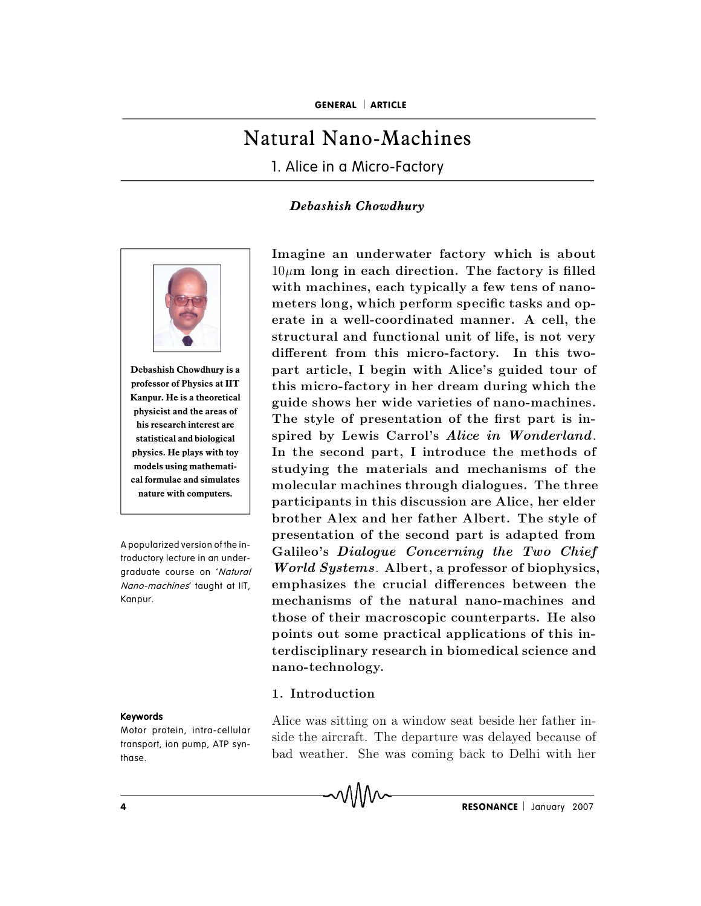# Natural Nano-Machines

1. Alice in a Micro-Factory

## *Debashish Chowdhury*



**Kanpur. He is a theoretical physicist and the areas of his research interest are statistical and biological models using mathematinature with computers.**

A popularized version of the introductory lecture in an undergraduate course on 'Natural Nano-machines' taught at IIT, Kanpur.

### Keywords

transport, ion pump, ATP synthase.

Debashish Chowdhury is a **part article, I begin with Alice's guided tour of** professor of Physics at IIT this micro-factory in her dream during which the physics. He plays with toy **IF** In the second part, I introduce the methods of cal formulae and simulates molecular machines through dialogues. The three **I. Alice in a Micro-Factory<br>
Debashish Chowdhury<br>
Imagine an underwater factory which is about** 1. Alice in a Micro-Factory<br> *Debashish Chowdhury*<br>
Imagine an underwater factory which is about<br>  $10\mu$ m long in each direction. The factory is filled *Debashish Chowdhury***<br>Imagine an underwater factory which is about<br>** $10 \mu m$  **long in each direction. The factory is filled<br>with machines, each typically a few tens of nano-Debashish Chowdhury**<br>Imagine an underwater factory which is about<br> $10\mu$ m long in each direction. The factory is filled<br>with machines, each typically a few tens of nano-<br>meters long, which perform specific tasks and op-Imagine an underwater factory which is about  $10 \mu m$  long in each direction. The factory is filled<br>with machines, each typically a few tens of nano-<br>meters long, which perform specific tasks and op-<br>erate in a well-coordi Imagine an underwater factory which is about  $10 \mu m$  long in each direction. The factory is filled with machines, each typically a few tens of nanometers long, which perform specific tasks and operate in a well-coordinate Imagine an underwater factory which is about  $10 \mu$ m long in each direction. The factory is filled with machines, each typically a few tens of nanometers long, which perform specific tasks and operate in a well-coordinate  $10\mu$ m long in each direction. The factory is filled<br>with machines, each typically a few tens of nano-<br>meters long, which perform specific tasks and op-<br>erate in a well-coordinated manner. A cell, the<br>structural and func with machines, each typically a few tens of nano-<br>meters long, which perform specific tasks and op-<br>erate in a well-coordinated manner. A cell, the<br>structural and functional unit of life, is not very<br>different from this mi meters long, which perform specific tasks and operate in a well-coordinated manner. A cell, the structural and functional unit of life, is not very different from this micro-factory. In this two-part article, I begin with erate in a well-coordinated manner. A cell, the<br>structural and functional unit of life, is not very<br>different from this micro-factory. In this two-<br>part article, I begin with Alice's guided tour of<br>this micro-factory in he structural and functional unit of life, is not very<br>different from this micro-factory. In this two-<br>part article, I begin with Alice's guided tour of<br>this micro-factory in her dream during which the<br>guide shows her wide va different from this micro-factory. In this two-<br>part article, I begin with Alice's guided tour of<br>this micro-factory in her dream during which the<br>guide shows her wide varieties of nano-machines.<br>The style of presentation part article, I begin with Alice's guided tour of<br>this micro-factory in her dream during which the<br>guide shows her wide varieties of nano-machines.<br>The style of presentation of the first part is in-<br>spired by Lewis Carrol' this micro-factory in her dream during which the<br>guide shows her wide varieties of nano-machines.<br>The style of presentation of the first part is in-<br>spired by Lewis Carrol's *Alice in Wonderland*.<br>In the second part, I int guide shows her wide varieties of nano-machines.<br>The style of presentation of the first part is in-<br>spired by Lewis Carrol's *Alice in Wonderland*.<br>In the second part, I introduce the methods of<br>studying the materials and The style of presentation of the first part is in-<br>spired by Lewis Carrol's *Alice in Wonderland*.<br>In the second part, I introduce the methods of<br>studying the materials and mechanisms of the<br>molecular machines through dial spired by Lewis Carrol's *Alice in Wonderland*.<br>In the second part, I introduce the methods of<br>studying the materials and mechanisms of the<br>molecular machines through dialogues. The three<br>participants in this discussion ar In the second part, I introduce the methods of<br>studying the materials and mechanisms of the<br>molecular machines through dialogues. The three<br>participants in this discussion are Alice, her elder<br>brother Alex and her father A studying the materials and mechanisms of the<br>molecular machines through dialogues. The three<br>participants in this discussion are Alice, her elder<br>brother Alex and her father Albert. The style of<br>presentation of the second molecular machines through dialogues. The three<br>participants in this discussion are Alice, her elder<br>brother Alex and her father Albert. The style of<br>presentation of the second part is adapted from<br>Galileo's *Dialogue Conc* participants in this discussion are Alice, her elder<br>brother Alex and her father Albert. The style of<br>presentation of the second part is adapted from<br>Galileo's *Dialogue Concerning the Two Chief*<br>World Systems. Albert, a p **the set of the second part is adapted from**<br>presentation of the second part is adapted from<br>Galileo's *Dialogue Concerning the Two Chief*<br>*World Systems*. Albert, a professor of biophysics,<br>emphasizes the crucial differen presentation of the second part is adapted from<br>Galileo's *Dialogue Concerning the Two Chief*<br>World Systems. Albert, a professor of biophysics,<br>emphasizes the crucial differences between the<br>mechanisms of the natural nano-Galileo's *Dialogue Concerning the Two Chief*<br>*World Systems*. Albert, a professor of biophysics,<br>emphasizes the crucial differences between the<br>mechanisms of the natural nano-machines and<br>those of their macroscopic counte *World Systems*. Alber<br>emphasizes the crucia<br>mechanisms of the na<br>those of their macrosco<br>points out some practi<br>terdisciplinary researcl<br>nano-technology. mechanisms of the natural nano-machines and<br>those of their macroscopic counterparts. He also<br>points out some practical applications of this in-<br>terdisciplinary research in biomedical science and<br>nano-technology.<br>1. Introdu those of their macroscopic counterparts. He also<br>points out some practical applications of this in-<br>terdisciplinary research in biomedical science and<br>nano-technology.<br>1. Introduction<br>Alice was sitting on a window seat bes points out some practical applications of this in-<br>terdisciplinary research in biomedical science and<br>nano-technology.<br>1. Introduction<br>Alice was sitting on a window seat beside her father in-<br>side the aircraft. The departu

**Exercise Alice was sitting on a window seat beside her father in-**<br>Motor protein, intra-cellular side the aircraft. The departure was delayed because of terdisciplinary research in biomedical science and<br>nano-technology.<br>1. Introduction<br>Alice was sitting on a window seat beside her father in-<br>side the aircraft. The departure was delayed because of<br>bad weather. She was comi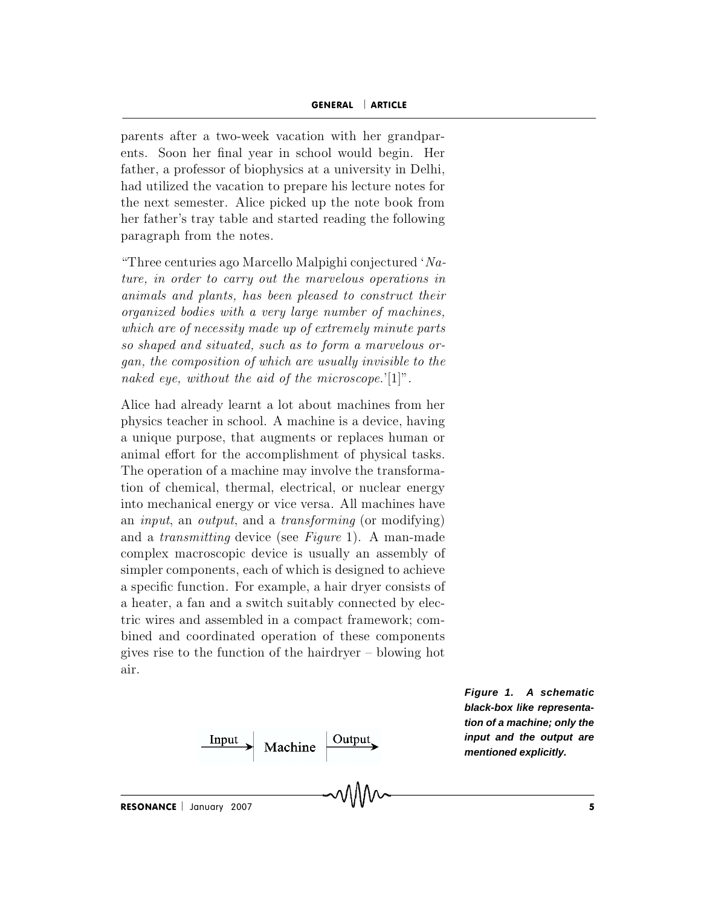GENERAL | ARTICLE GENERAL | ARTICLE<br>parents after a two-week vacation with her grandpar-<br>ents. Soon her final year in school would begin. Her **GENERAL** | **ARTICLE**<br>
parents after a two-week vacation with her grandpar-<br>
ents. Soon her final year in school would begin. Her<br>
father, a professor of biophysics at a university in Delhi. **GENERAL** | **ARTICLE**<br>
parents after a two-week vacation with her grandpar-<br>
ents. Soon her final year in school would begin. Her<br>
father, a professor of biophysics at a university in Delhi,<br>
had utilized the vacation to p **GENERAL** | **ARTICLE**<br>
parents after a two-week vacation with her grandpar-<br>
ents. Soon her final year in school would begin. Her<br>
father, a professor of biophysics at a university in Delhi,<br>
had utilized the vacation to p parents after a two-week vacation with her grandparents. Soon her final year in school would begin. Her father, a professor of biophysics at a university in Delhi, had utilized the vacation to prepare his lecture notes for parents after a two-week vacation<br>ents. Soon her final year in sch<br>father, a professor of biophysics a<br>had utilized the vacation to prepa<br>the next semester. Alice picked<br>her father's tray table and startee<br>paragraph from t ents. Soon her final year in school would begin. Her<br>father, a professor of biophysics at a university in Delhi,<br>had utilized the vacation to prepare his lecture notes for<br>the next semester. Alice picked up the note book Fracturer, a professor of biophysics at a university in Definition,<br>had utilized the vacation to prepare his lecture notes for<br>the next semester. Alice picked up the note book from<br>her father's tray table and started read and utilized the vacation to prepare ins lecture hotes for<br>the next semester. Alice picked up the note book from<br>her father's tray table and started reading the following<br>paragraph from the notes.<br>"Three centuries ago Mar

organized bodies with a very large number of machines.<br>
Three centuries ago Marcello Malpighi conjectured '*Nature*, *in order to carry out the marvelous operations in*<br>
animals and plants, has been pleased to construct t mer rather's tray table and started reading the following<br>paragraph from the notes.<br>"Three centuries ago Marcello Malpighi conjectured 'Na-<br>ture, in order to carry out the marvelous operations in<br>animals and plants, has be paragraph from the notes.<br>
"Three centuries ago Marcello Malpighi conjectured 'Nature, in order to carry out the marvelous operations in<br>
animals and plants, has been pleased to construct their<br>
organized bodies with a ve "Three centuries ago Marcello Malpighi conjectured 'Nature, in order to carry out the marvelous operations in animals and plants, has been pleased to construct their organized bodies with a very large number of machines, ture, in order to carry out the marvelous operations in animals and plants, has been pleased to construct their organized bodies with a very large number of machines, which are of necessity made up of extremely minute par animals and plants, has been pleased to construct their<br>organized bodies with a very large number of machines,<br>which are of necessity made up of extremely minute parts<br>so shaped and situated, such as to form a marvelous o programs a boates with a very targe number of machines,<br>which are of necessity made up of extremely minute parts<br>so shaped and situated, such as to form a marvelous or-<br>gan, the composition of which are usually invisible which are of necessity made up of extremely minute parts<br>so shaped and situated, such as to form a marvelous or-<br>gan, the composition of which are usually invisible to the<br>naked eye, without the aid of the microscope.'[1]

so snapea ana suuatea, such as to form a marvetous or-<br>gan, the composition of which are usually invisible to the<br>naked eye, without the aid of the microscope.'[1]".<br>Alice had already learnt a lot about machines from her<br>p gan, the composition of which are assumity invisible to the<br>naked eye, without the aid of the microscope.'[1]".<br>Alice had already learnt a lot about machines from her<br>physics teacher in school. A machine is a device, havi nakea eye, wunout the ata of the microscope. [1]<br>Alice had already learnt a lot about machines from her<br>physics teacher in school. A machine is a device, having<br>a unique purpose, that augments or replaces human or<br>animal e Alice had already learnt a lot about machines from her<br>physics teacher in school. A machine is a device, having<br>a unique purpose, that augments or replaces human or<br>animal effort for the accomplishment of physical tasks.<br>T physics teacher in school. A machine is a device, having<br>a unique purpose, that augments or replaces human or<br>animal effort for the accomplishment of physical tasks.<br>The operation of a machine may involve the transforma-<br>t a unique purpose, that augments or replaces human or<br>animal effort for the accomplishment of physical tasks.<br>The operation of a machine may involve the transforma-<br>tion of chemical, thermal, electrical, or nuclear energy<br>i animal effort for the accomplishment of physical tasks.<br>The operation of a machine may involve the transforma-<br>tion of chemical, thermal, electrical, or nuclear energy<br>into mechanical energy or vice versa. All machines ha The operation of a machine may involve the transforma-<br>tion of chemical, thermal, electrical, or nuclear energy<br>into mechanical energy or vice versa. All machines have<br>an *input*, an *output*, and a *transforming* (or mod tion of chemical, thermal, electrical, or nuclear energy<br>into mechanical energy or vice versa. All machines have<br>an *input*, an *output*, and a *transforming* (or modifying)<br>and a *transmitting* device (see *Figure* 1). A into mechanical energy or vice versa. All machines have<br>an *input*, an *output*, and a *transforming* (or modifying)<br>and a *transmitting* device (see *Figure* 1). A man-made<br>complex macroscopic device is usually an assemb an *input*, an *output*, and a *transforming* (or modifying)<br>and a *transmitting* device (see *Figure* 1). A man-made<br>complex macroscopic device is usually an assembly of<br>simpler components, each of which is designed to a and a *transmitting* device (see *Figure* 1). A man-made complex macroscopic device is usually an assembly of simpler components, each of which is designed to achieve a specific function. For example, a hair dryer consist complex macroscopic device is usually an assembly of<br>simpler components, each of which is designed to achieve<br>a specific function. For example, a hair dryer consists of<br>a heater, a fan and a switch suitably connected by e sim<br>a sp<br>a he<br>tric<br>bine<br>give<br>air. air.

 $\frac{Input}{Output}$  Machine  $\frac{Output}{}$ 

**Figure 1. A schematic black-box like representation of a machine; only the input and the output are mentioned explicitly.**

RESONANCE | January 2007  $\sim 10^{-10}$  s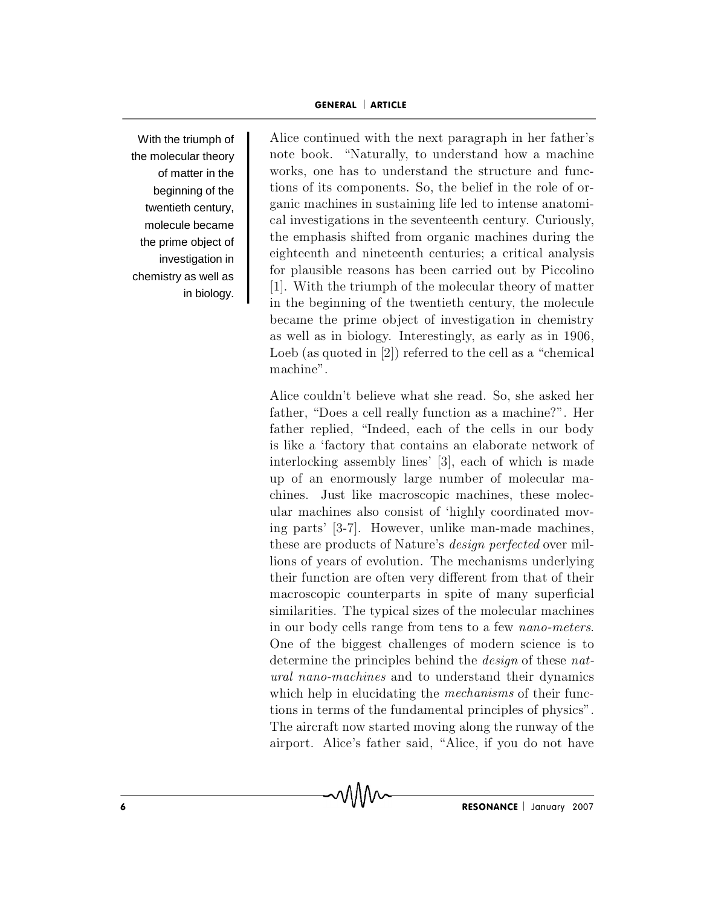With the triumph of twentieth century, the prime object of in biology.

the molecular theory note book. "Naturally, to understand how a machine of matter in the works, one has to understand the structure and funcbeginning of the tions of its components. So, the belief in the role of ormolecule became and investigations in the seventeenth century. Curiously, investigation in eighteenth and nineteenth centuries; a critical analysis chemistry as well as  $\begin{bmatrix} 101 & \text{prains per tension} \\ 11 \end{bmatrix}$ . With the triumph of the molecular theory of matter GENERAL | ARTICLE<br>Alice continued with the next paragraph in her father's GENERAL | ARTICLE<br>Alice continued with the next paragraph in her father's<br>note book. "Naturally, to understand how a machine GENERAL | ARTICLE<br>Alice continued with the next paragraph in her father's<br>note book. "Naturally, to understand how a machine<br>works, one has to understand the structure and func-**GENERAL | ARTICLE**<br>
Alice continued with the next paragraph in her father's<br>
note book. "Naturally, to understand how a machine<br>
works, one has to understand the structure and func-<br>
tions of its components. So, the belie GENERAL | ARTICLE<br>Alice continued with the next paragraph in her father's<br>note book. "Naturally, to understand how a machine<br>works, one has to understand the structure and func-<br>tions of its components. So, the belief in t Alice continued with the next paragraph in her father's<br>note book. "Naturally, to understand how a machine<br>works, one has to understand the structure and func-<br>tions of its components. So, the belief in the role of or-<br>gan Alice continued with the next paragraph in her father's<br>note book. "Naturally, to understand how a machine<br>works, one has to understand the structure and func-<br>tions of its components. So, the belief in the role of or-<br>gan note book. "Naturally, to understand how a machine works, one has to understand the structure and functions of its components. So, the belief in the role of organic machines in sustaining life led to intense anatomical inv works, one has to understand the structure and func-<br>tions of its components. So, the belief in the role of or-<br>ganic machines in sustaining life led to intense anatomi-<br>cal investigations in the seventeenth century. Curio tions of its components. So, the belief in the role of or-<br>ganic machines in sustaining life led to intense anatomi-<br>cal investigations in the seventeenth century. Curiously,<br>the emphasis shifted from organic machines duri ganic machines in sustaining life led to intense anatomical investigations in the seventeenth century. Curiously, the emphasis shifted from organic machines during the eighteenth and nineteenth centuries; a critical analys cal investigations in the seventeenth century. Curiously,<br>the emphasis shifted from organic machines during the<br>eighteenth and nineteenth centuries; a critical analysis<br>for plausible reasons has been carried out by Piccoli the emphasis shifted from organic machines during the eighteenth and nineteenth centuries; a critical analysis for plausible reasons has been carried out by Piccolino [1]. With the triumph of the molecular theory of matter eighteenth and nineteenth centuries; a critical analysis<br>for plausible reasons has been carried out by Piccolino<br>[1]. With the triumph of the molecular theory of matter<br>in the beginning of the twentieth century, the molecu for plausible reas<br>[1]. With the triu<br>in the beginning<br>became the prim<br>as well as in biol<br>Loeb (as quoted :<br>machine". [1]. With the triumph of the molecular theory of matter<br>in the beginning of the twentieth century, the molecule<br>became the prime object of investigation in chemistry<br>as well as in biology. Interestingly, as early as in 19 factor in the beginning of the twentieth century, the molecule<br>became the prime object of investigation in chemistry<br>as well as in biology. Interestingly, as early as in 1906,<br>Loeb (as quoted in [2]) referred to the cell a became the prime object of investigation in chemistry<br>as well as in biology. Interestingly, as early as in 1906,<br>Loeb (as quoted in [2]) referred to the cell as a "chemical<br>machine".<br>Alice couldn't believe what she read. S

as well as in biology. Interestingly, as early as in 1906,<br>Loeb (as quoted in [2]) referred to the cell as a "chemical<br>machine".<br>Alice couldn't believe what she read. So, she asked her<br>father, "Does a cell really function Loeb (as quoted in [2]) referred to the cent as a chemical<br>machine".<br>Alice couldn't believe what she read. So, she asked her<br>father, "Does a cell really function as a machine?". Her<br>father replied, "Indeed, each of the ce Alice couldn't believe what she read. So, she asked her<br>father, "Does a cell really function as a machine?". Her<br>father replied, "Indeed, each of the cells in our body<br>is like a 'factory that contains an elaborate network Alice couldn't believe what she read. So, she asked her father, "Does a cell really function as a machine?". Her father replied, "Indeed, each of the cells in our body is like a 'factory that contains an elaborate network father, "Does a cell really function as a machine?". Her<br>father replied, "Indeed, each of the cells in our body<br>is like a 'factory that contains an elaborate network of<br>interlocking assembly lines' [3], each of which is ma father replied, "Indeed, each of the cells in our body<br>is like a 'factory that contains an elaborate network of<br>interlocking assembly lines' [3], each of which is made<br>up of an enormously large number of molecular ma-<br>chin is like a 'factory that contains an elaborate network of<br>interlocking assembly lines' [3], each of which is made<br>up of an enormously large number of molecular ma-<br>chines. Just like macroscopic machines, these molec-<br>ular interlocking assembly lines' [3], each of which is made<br>up of an enormously large number of molecular ma-<br>chines. Just like macroscopic machines, these molec-<br>ular machines also consist of 'highly coordinated mov-<br>ing part up of an enormously large number of molecular machines. Just like macroscopic machines, these molecular machines also consist of 'highly coordinated moving parts' [3-7]. However, unlike man-made machines, these are product chines. Just like macroscopic machines, these molecular machines also consist of 'highly coordinated moving parts' [3-7]. However, unlike man-made machines, these are products of Nature's *design perfected* over millions o ular machines also consist of 'highly coordinated mov-<br>ing parts' [3-7]. However, unlike man-made machines,<br>these are products of Nature's *design perfected* over mil-<br>lions of years of evolution. The mechanisms underlying ing parts' [3-7]. However, unlike man-made machines,<br>these are products of Nature's *design perfected* over mil-<br>lions of years of evolution. The mechanisms underlying<br>their function are often very different from that of t these are products of Nature's *design perfected* over mil-<br>lions of years of evolution. The mechanisms underlying<br>their function are often very different from that of their<br>macroscopic counterparts in spite of many superf lions of years of evolution. The mechanisms underlying<br>their function are often very different from that of their<br>macroscopic counterparts in spite of many superficial<br>similarities. The typical sizes of the molecular mach their function are often very different from that of their<br>macroscopic counterparts in spite of many superficial<br>similarities. The typical sizes of the molecular machines<br>in our body cells range from tens to a few *nano-me* macroscopic counterparts in spite of many superficial<br>similarities. The typical sizes of the molecular machines<br>in our body cells range from tens to a few *nano-meters*.<br>One of the biggest challenges of modern science is similarities. The typical sizes of the molecular machines<br>in our body cells range from tens to a few *nano-meters*.<br>One of the biggest challenges of modern science is to<br>determine the principles behind the *design* of the in our body cells range from tens to a few *nano-meters*.<br>One of the biggest challenges of modern science is to<br>determine the principles behind the *design* of these *nat-*<br>*ural nano-machines* and to understand their dyn One of the biggest challenges of modern science is to determine the principles behind the *design* of these *nat-*  $ural$  *nano-machines* and to understand their dynamics which help in elucidating the *mechanisms* of their f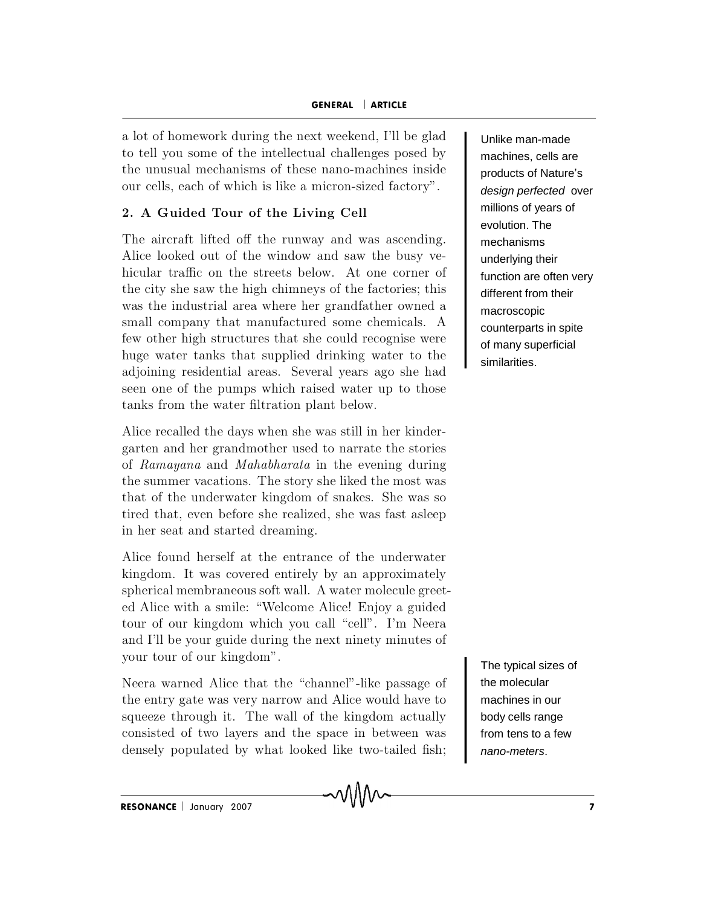GENERAL | ARTICLE<br>a lot of homework during the next weekend. I'll be glad **GENERAL** | **ARTICLE**<br>
a lot of homework during the next weekend, I'll be glad<br>
to tell you some of the intellectual challenges posed by **GENERAL**  $\vert$  **ARTICLE**<br>
a lot of homework during the next weekend, I'll be glad<br>
to tell you some of the intellectual challenges posed by<br>
the unusual mechanisms of these nano-machines inside **GENERAL** | **ARTICLE**<br>a lot of homework during the next weekend, I'll be glad<br>to tell you some of the intellectual challenges posed by<br>the unusual mechanisms of these nano-machines inside<br>our cells, each of which is like a a lot of homework during the next weekend, I'll be glad<br>to tell you some of the intellectual challenges posed by<br>the unusual mechanisms of these nano-machines inside<br>our cells, each of which is like a micron-sized factory" a lot of homework during the next weekend, I'll be glad<br>to tell you some of the intellectual challenges posed by<br>the unusual mechanisms of these nano-machines inside<br>our cells, each of which is like a micron-sized factory to tell you some of the intellectual challenges posed by<br>the unusual mechanisms of these nano-machines inside<br>our cells, each of which is like a micron-sized factory".<br>2. A Guided Tour of the Living Cell<br>The aircraft lifte

the unusual mechanisms of these nano-machines inside<br>
our cells, each of which is like a micron-sized factory".<br>
2. A Guided Tour of the Living Cell<br>
The aircraft lifted off the runway and was ascending.<br>
Alice looked out our cells, each of which is like a micron-sized factory".<br>
2. A Guided Tour of the Living Cell<br>
The aircraft lifted off the runway and was ascending.<br>
Alice looked out of the window and saw the busy ve-<br>
hicular traffic o 2. A Guided Tour of the Living Cell<br>
The aircraft lifted off the runway and was ascending.<br>
Alice looked out of the window and saw the busy ve-<br>
hicular traffic on the streets below. At one corner of<br>
the city she saw the 2. A Guided Tour of the Living Cent<br>The aircraft lifted off the runway and was ascending.<br>Alice looked out of the window and saw the busy ve-<br>hicular traffic on the streets below. At one corner of<br>the city she saw the high The aircraft lifted off the runway and was ascending.<br>Alice looked out of the window and saw the busy ve-<br>hicular traffic on the streets below. At one corner of<br>the city she saw the high chimneys of the factories; this<br>wa Alice looked out of the window and saw the busy ve-<br>hicular traffic on the streets below. At one corner of<br>the city she saw the high chimneys of the factories; this<br>was the industrial area where her grandfather owned a<br>sm hicular traffic on the streets below. At one corner of<br>the city she saw the high chimneys of the factories; this<br>was the industrial area where her grandfather owned a<br>small company that manufactured some chemicals. A<br>few o the city she saw the high chimneys of the factories; this<br>was the industrial area where her grandfather owned a<br>small company that manufactured some chemicals. A<br>few other high structures that she could recognise were<br>huge was the industrial area where her grandfather own<br>small company that manufactured some chemical<br>few other high structures that she could recognise<br>huge water tanks that supplied drinking water to<br>adjoining residential area Sman company that manufactured some chemicals. A<br>few other high structures that she could recognise were<br>huge water tanks that supplied drinking water to the<br>adjoining residential areas. Several years ago she had<br>seen one rew other high structures that she could recognise were<br>huge water tanks that supplied drinking water to the<br>adjoining residential areas. Several years ago she had<br>seen one of the pumps which raised water up to those<br>tanks nuge water tanks that supplied drinking water to the<br>adjoining residential areas. Several years ago she had<br>seen one of the pumps which raised water up to those<br>tanks from the water filtration plant below.<br>Alice recalled t

adjoining residential areas. Several years ago she had<br>seen one of the pumps which raised water up to those<br>tanks from the water filtration plant below.<br>Alice recalled the days when she was still in her kinder-<br>garten and seen one of the pumps which raised water up to those<br>tanks from the water filtration plant below.<br>Alice recalled the days when she was still in her kinder-<br>garten and her grandmother used to narrate the stories<br>of *Ramayan* Alice recalled the days when she was still in her kinder-<br>garten and her grandmother used to narrate the stories<br>of *Ramayana* and *Mahabharata* in the evening during<br>the summer vacations. The story she liked the most was Alice recalled the days when she was still in her kinder-<br>garten and her grandmother used to narrate the stories<br>of *Ramayana* and *Mahabharata* in the evening during<br>the summer vacations. The story she liked the most was<br> garten and her grandmother used to narrate the stories<br>of *Ramayana* and *Mahabharata* in the evening during<br>the summer vacations. The story she liked the most was<br>that of the underwater kingdom of snakes. She was so<br>tired of *hamayana* and *Manaonarata* in the evening during<br>the summer vacations. The story she liked the most was<br>that of the underwater kingdom of snakes. She was so<br>tired that, even before she realized, she was fast asleep<br>in the summer vacations. The story she nked the most was<br>that of the underwater kingdom of snakes. She was so<br>tired that, even before she realized, she was fast asleep<br>in her seat and started dreaming.<br>Alice found herself at

that of the underwater kingdom of snakes. She was so<br>tired that, even before she realized, she was fast asleep<br>in her seat and started dreaming.<br>Alice found herself at the entrance of the underwater<br>kingdom. It was covered tired that, even before she realized, she was fast asleep<br>in her seat and started dreaming.<br>Alice found herself at the entrance of the underwater<br>kingdom. It was covered entirely by an approximately<br>spherical membraneous s Alice found herself at the entrance of the underwater<br>kingdom. It was covered entirely by an approximately<br>spherical membraneous soft wall. A water molecule greet-<br>ed Alice with a smile: "Welcome Alice! Enjoy a guided<br>tour Alice found herself at the entrance of the underwater<br>kingdom. It was covered entirely by an approximately<br>spherical membraneous soft wall. A water molecule greet-<br>ed Alice with a smile: "Welcome Alice! Enjoy a guided<br>tour kingdom. It was covered entirely by an approximately<br>spherical membraneous soft wall. A water molecule greet-<br>ed Alice with a smile: "Welcome Alice! Enjoy a guided<br>tour of our kingdom which you call "cell". I'm Neera<br>and I spnerical membraneous soft wan. A water molecule greet-<br>ed Alice with a smile: "Welcome Alice! Enjoy a guided<br>tour of our kingdom which you call "cell". I'm Neera<br>and I'll be your guide during the next ninety minutes of<br>yo ed Alice with a sinne: Welcome Alice: Enjoy a guided<br>tour of our kingdom which you call "cell". I'm Neera<br>and I'll be your guide during the next ninety minutes of<br>your tour of our kingdom".<br>Neera warned Alice that the "cha

Four of our kingdom which you can cent. It in insert<br>and I'll be your guide during the next ninety minutes of<br>your tour of our kingdom".<br>Neera warned Alice that the "channel"-like passage of<br>the entry gate was very narrow Neera warned Alice that the "channel"-like passage of<br>the entry gate was very narrow and Alice would have to<br>squeeze through it. The wall of the kingdom actually<br>consisted of two layers and the space in between was<br>densely

Unlike man-made machines, cells are products of Nature's design perfected over millions of years of evolution. The mechanisms underlying their function are often very different from their macroscopic counterparts in spite of many superficial similarities.

The typical sizes of the molecular machines in our body cells range from tens to a few nano-meters.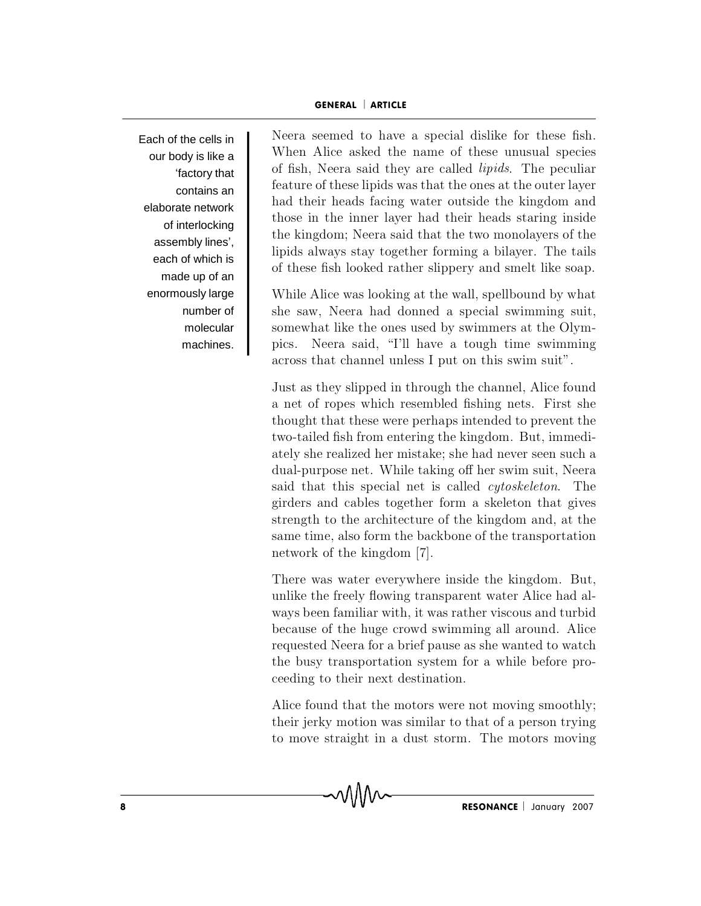Each of the cells in  $\begin{bmatrix} N \\ N \end{bmatrix}$ factory that assembly lines', made up of an number of molecular machines.

our body is like a When Alice asked the name of these unusual species<br>  $\begin{array}{c}$  the section of fish, Neera said they are called *lipids*. The peculiar contains an feature of these lipids was that the ones at the outer layer<br>had their heads facing water outside the kingdom and elaborate network hose in the inner layer had their heads staring inside<br>of interlating in the inner layer had their heads staring inside of interlocking the kingdom; Neera said that the two monolayers of the each of which is lipids always stay together forming a bilayer. The tails of these fish looked rather slippery and smelt like soap. GENERAL | ARTICLE<br>Neera seemed to have a special dislike for these fish. GENERAL | ARTICLE<br>Neera seemed to have a special dislike for these fish.<br>When Alice asked the name of these unusual species **GENERAL** | **ARTICLE**<br>Neera seemed to have a special dislike for these fish.<br>When Alice asked the name of these unusual species<br>of fish. Neera said they are called *linids*. The peculiar **GENERAL | ARTICLE**<br>Neera seemed to have a special dislike for these fish.<br>When Alice asked the name of these unusual species<br>of fish, Neera said they are called *lipids*. The peculiar<br>feature of these lipids was that the **GENERAL | ARTICLE**<br>Neera seemed to have a special dislike for these fish.<br>When Alice asked the name of these unusual species<br>of fish, Neera said they are called *lipids*. The peculiar<br>feature of these lipids was that the Neera seemed to have a special dislike for these fish.<br>When Alice asked the name of these unusual species<br>of fish, Neera said they are called *lipids*. The peculiar<br>feature of these lipids was that the ones at the outer la Neera seemed to have a special dislike for these fish.<br>When Alice asked the name of these unusual species<br>of fish, Neera said they are called *lipids*. The peculiar<br>feature of these lipids was that the ones at the outer la When Alice asked the name of these unusual species<br>of fish, Neera said they are called *lipids*. The peculiar<br>feature of these lipids was that the ones at the outer layer<br>had their heads facing water outside the kingdom an of fish, Neera said they are called *lipids*. The peculiar feature of these lipids was that the ones at the outer layer had their heads facing water outside the kingdom and those in the inner layer had their heads staring reature of these fiplus was that the ones at the outer layer<br>had their heads facing water outside the kingdom and<br>those in the inner layer had their heads staring inside<br>the kingdom; Neera said that the two monolayers of t had their heads facing water outside the kingdom and<br>those in the inner layer had their heads staring inside<br>the kingdom; Neera said that the two monolayers of the<br>lipids always stay together forming a bilayer. The tails<br>o those in the inner layer had their heads staring inside<br>the kingdom; Neera said that the two monolayers of the<br>lipids always stay together forming a bilayer. The tails<br>of these fish looked rather slippery and smelt like so

enormously large While Alice was looking at the wall, spellbound by what the kingdom; iveera said that the two monolayers of the<br>lipids always stay together forming a bilayer. The tails<br>of these fish looked rather slippery and smelt like soap.<br>While Alice was looking at the wall, spellbound by inpus always stay together forming a bilayer. The talls<br>of these fish looked rather slippery and smelt like soap.<br>While Alice was looking at the wall, spellbound by what<br>she saw, Neera had donned a special swimming suit,<br>s While Alice was looking at the wall, spellbound by what<br>she saw, Neera had donned a special swimming suit,<br>somewhat like the ones used by swimmers at the Olym-<br>pics. Neera said, "I'll have a tough time swimming<br>across that while Alice was looking at the wall, spellbound by what<br>she saw, Neera had donned a special swimming suit,<br>somewhat like the ones used by swimmers at the Olym-<br>pics. Neera said, "I'll have a tough time swimming<br>across that she saw, iveera had donned a special swimming suit,<br>somewhat like the ones used by swimmers at the Olym-<br>pics. Neera said, "I'll have a tough time swimming<br>across that channel unless I put on this swim suit".<br>Just as they

somewhat like the ones used by swimmers at the Olympics. Neera said, "I'll have a tough time swimming across that channel unless I put on this swim suit".<br>Just as they slipped in through the channel, Alice found<br>a net of r pics. Neera said, Til have a tough time swimming<br>across that channel unless I put on this swim suit".<br>Just as they slipped in through the channel, Alice found<br>a net of ropes which resembled fishing nets. First she<br>thought across that channer unless 1 put on this swim suit.<br>Just as they slipped in through the channel, Alice found<br>a net of ropes which resembled fishing nets. First she<br>thought that these were perhaps intended to prevent the<br>tw Just as they slipped in through the channel, Alice found<br>a net of ropes which resembled fishing nets. First she<br>thought that these were perhaps intended to prevent the<br>two-tailed fish from entering the kingdom. But, immedi a net of ropes which resembled fishing nets. First she<br>thought that these were perhaps intended to prevent the<br>two-tailed fish from entering the kingdom. But, immedi-<br>ately she realized her mistake; she had never seen such thought that these were perhaps intended to prevent the<br>two-tailed fish from entering the kingdom. But, immedi-<br>ately she realized her mistake; she had never seen such a<br>dual-purpose net. While taking off her swim suit, Ne two-tailed fish from entering the kingdom. But, immediately she realized her mistake; she had never seen such a dual-purpose net. While taking off her swim suit, Neera said that this special net is called *cytoskeleton*. T two-tailed fish from entering the kingdom. But, immediately she realized her mistake; she had never seen such a dual-purpose net. While taking off her swim suit, Neera said that this special net is called *cytoskeleton*. dual-purpose net. While taking on her swim suit, Neera<br>said that this special net is called *cytoskeleton*. The<br>girders and cables together form a skeleton that gives<br>strength to the architecture of the kingdom and, at the girders and cables together form a skeleton that gives<br>strength to the architecture of the kingdom and, at the<br>same time, also form the backbone of the transportation<br>network of the kingdom [7].<br>There was water everywhere ginaers and cables together form a skeleton that gives<br>strength to the architecture of the kingdom and, at the<br>same time, also form the backbone of the transportation<br>network of the kingdom [7].<br>There was water everywhere

strength to the architecture of the kingdom and, at the<br>same time, also form the backbone of the transportation<br>network of the kingdom [7].<br>There was water everywhere inside the kingdom. But,<br>unlike the freely flowing tran same time, also form the backbone of the transportation<br>network of the kingdom [7].<br>There was water everywhere inside the kingdom. But,<br>unlike the freely flowing transparent water Alice had al-<br>ways been familiar with, it There was water everywhere inside the kingdom. But,<br>unlike the freely flowing transparent water Alice had al-<br>ways been familiar with, it was rather viscous and turbid<br>because of the huge crowd swimming all around. Alice<br> There was water everywhere inside the kingdom. But, unlike the freely flowing transparent water Alice had always been familiar with, it was rather viscous and turbid because of the huge crowd swimming all around. Alice req unike the freely howing transparent water Alice had always been familiar with, it was rather viscous and turbid<br>because of the huge crowd swimming all around. Alice<br>requested Neera for a brief pause as she wanted to watch<br> ways been rammar with, it was rather viscous and turbid<br>because of the huge crowd swimming all around. Alice<br>requested Neera for a brief pause as she wanted to watch<br>the busy transportation system for a while before pro-<br>c

Alice found that the motors were not moving smoothly;<br>their jerky motion was similar to that of a person trying<br>to move straight in a dust storm. The motors moving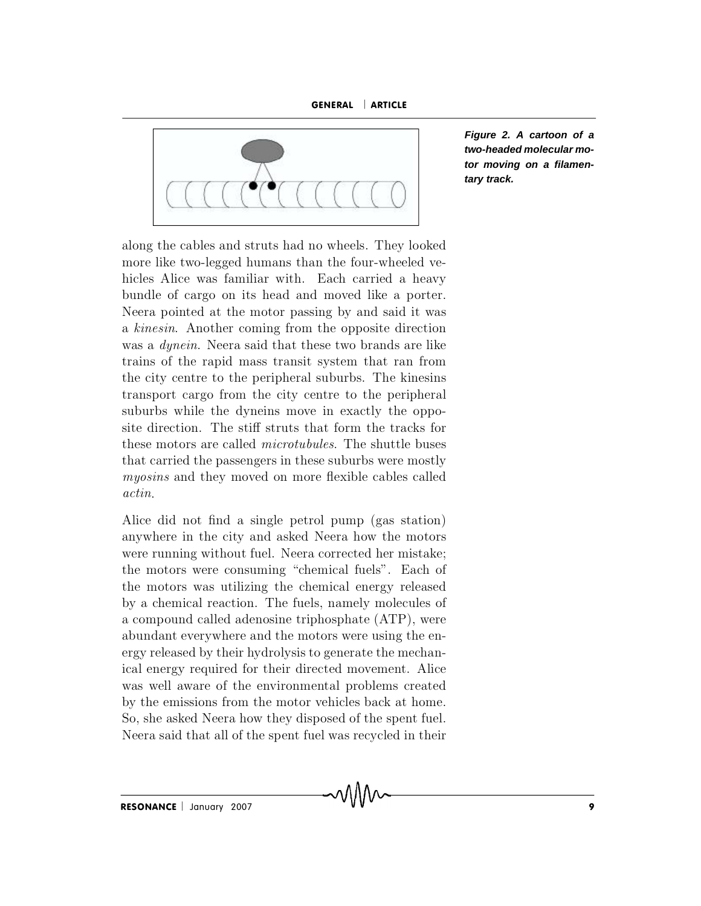GENERAL ARTICLE



**Figure 2. A cartoon of a two-headed molecular motor moving on a filamentary track.**

along the cables and struts had no wheels. They looked<br>more like two-legged humans than the four-wheeled vealong the cables and struts had no wheels. They looked<br>more like two-legged humans than the four-wheeled ve-<br>hicles Alice was familiar with. Each carried a heavy<br>bundle of cargo on its head and moved like a porter. along the cables and struts had no wheels. They looked<br>more like two-legged humans than the four-wheeled ve-<br>hicles Alice was familiar with. Each carried a heavy<br>bundle of cargo on its head and moved like a porter.<br>Neera p along the cables and struts had no wheels. They looked<br>more like two-legged humans than the four-wheeled ve-<br>hicles Alice was familiar with. Each carried a heavy<br>bundle of cargo on its head and moved like a porter.<br>Neera p along the cables and struts had no wheels. They looked<br>more like two-legged humans than the four-wheeled ve-<br>hicles Alice was familiar with. Each carried a heavy<br>bundle of cargo on its head and moved like a porter.<br>Neera p more like two-legged humans than the four-wheeled ve-<br>hicles Alice was familiar with. Each carried a heavy<br>bundle of cargo on its head and moved like a porter.<br>Neera pointed at the motor passing by and said it was<br>a *kines* hicles Alice was familiar with. Each carried a heavy<br>bundle of cargo on its head and moved like a porter.<br>Neera pointed at the motor passing by and said it was<br>a *kinesin*. Another coming from the opposite direction<br>was a bundle of cargo on its head and moved like a porter.<br>Neera pointed at the motor passing by and said it was<br>a *kinesin*. Another coming from the opposite direction<br>was a *dynein*. Neera said that these two brands are like<br>t Neera pointed at the motor passing by and said it was<br>a *kinesin*. Another coming from the opposite direction<br>was a *dynein*. Neera said that these two brands are like<br>trains of the rapid mass transit system that ran from<br> a kinesin. Another coming from the opposite direction<br>was a *dynein*. Neera said that these two brands are like<br>trains of the rapid mass transit system that ran from<br>the city centre to the peripheral suburbs. The kinesins<br> was a *dynein*. Neera said that these two brands are like<br>trains of the rapid mass transit system that ran from<br>the city centre to the peripheral suburbs. The kinesins<br>transport cargo from the city centre to the periphera trains of the rapid mass transit system that ran from<br>the city centre to the peripheral suburbs. The kinesins<br>transport cargo from the city centre to the peripheral<br>suburbs while the dyneins move in exactly the oppo-<br>site the city centre to the peripheral suburbs. The kinesins<br>transport cargo from the city centre to the peripheral<br>suburbs while the dyneins move in exactly the oppo-<br>site direction. The stiff struts that form the tracks for<br>t actin. suburbs while the dynems move in exactly the opposite direction. The stiff struts that form the tracks for these motors are called *microtubules*. The shuttle buses that carried the passengers in these suburbs were mostly site direction. The stiff struts that form the tracks for<br>these motors are called *microtubules*. The shuttle buses<br>that carried the passengers in these suburbs were mostly<br>*myosins* and they moved on more flexible cables these motors are caned *interotuoues*. The shuttle buses<br>that carried the passengers in these suburbs were mostly<br>*myosins* and they moved on more flexible cables called<br>*actin*.<br>Alice did not find a single petrol pump (ga

that carried the passengers in these suburbs were mostly  $myosins$  and they moved on more flexible cables called  $actin$ .<br>Alice did not find a single petrol pump (gas station) anywhere in the city and asked Neera how the motors myosins and they moved on more nexible cables called actin.<br>
Alice did not find a single petrol pump (gas station)<br>
anywhere in the city and asked Neera how the motors<br>
were running without fuel. Neera corrected her mistak Alice did not find a single petrol pump (gas station)<br>anywhere in the city and asked Neera how the motors<br>were running without fuel. Neera corrected her mistake;<br>the motors were consuming "chemical fuels". Each of<br>the moto Alice did not find a single petrol pump (gas station)<br>anywhere in the city and asked Neera how the motors<br>were running without fuel. Neera corrected her mistake;<br>the motors were consuming "chemical fuels". Each of<br>the moto anywhere in the city and asked Neera how the motors<br>were running without fuel. Neera corrected her mistake;<br>the motors were consuming "chemical fuels". Each of<br>the motors was utilizing the chemical energy released<br>by a che were running without fuel. Neera corrected her mistake;<br>the motors were consuming "chemical fuels". Each of<br>the motors was utilizing the chemical energy released<br>by a chemical reaction. The fuels, namely molecules of<br>a com the motors were consuming "chemical fuels". Each of<br>the motors was utilizing the chemical energy released<br>by a chemical reaction. The fuels, namely molecules of<br>a compound called adenosine triphosphate (ATP), were<br>abundant the motors was utilizing the chemical energy released<br>by a chemical reaction. The fuels, namely molecules of<br>a compound called adenosine triphosphate (ATP), were<br>abundant everywhere and the motors were using the en-<br>ergy r by a chemical reaction. The fuels, namely molecules of<br>a compound called adenosine triphosphate (ATP), were<br>abundant everywhere and the motors were using the en-<br>ergy released by their hydrolysis to generate the mechan-<br>ic a compound called adenosine triphosphate (ATP), were<br>abundant everywhere and the motors were using the en-<br>ergy released by their hydrolysis to generate the mechan-<br>ical energy required for their directed movement. Alice<br>w a compound called adenosine triphosphate (ATP), were<br>abundant everywhere and the motors were using the en-<br>ergy released by their hydrolysis to generate the mechan-<br>ical energy required for their directed movement. Alice<br>w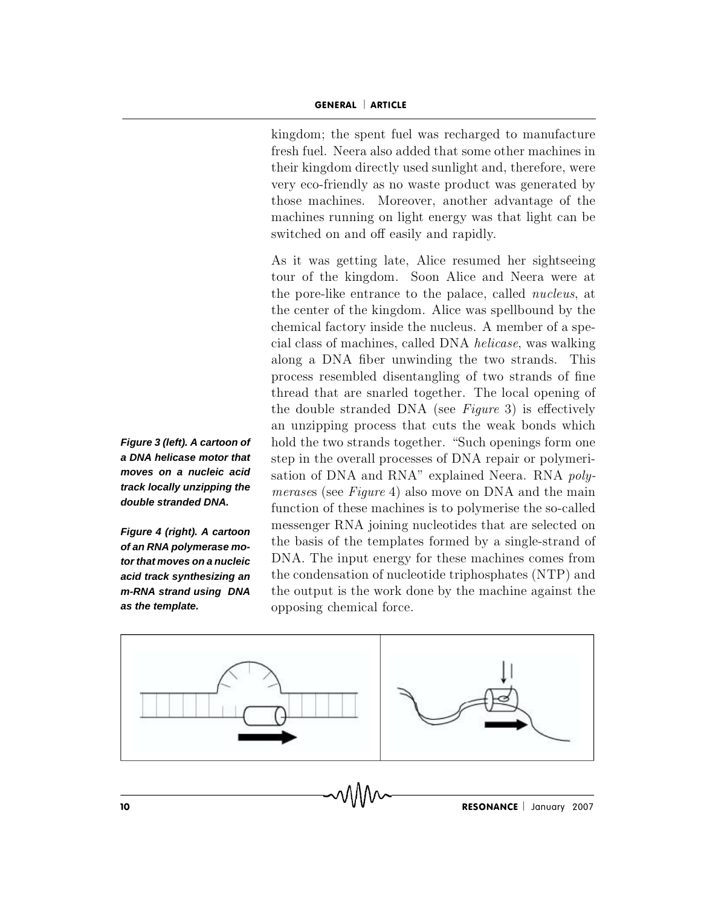GENERAL | ARTICLE<br>kingdom: the spent fuel was recharged to manufacture **GENERAL** | **ARTICLE**<br>kingdom; the spent fuel was recharged to manufacture<br>fresh fuel. Neera also added that some other machines in GENERAL | ARTICLE<br>
kingdom; the spent fuel was recharged to manufacture<br>
fresh fuel. Neera also added that some other machines in<br>
their kingdom directly used sunlight and, therefore, were **GENERAL | ARTICLE**<br>
kingdom; the spent fuel was recharged to manufacture<br>
fresh fuel. Neera also added that some other machines in<br>
their kingdom directly used sunlight and, therefore, were<br>
verv eco-friendly as no waste **GENERAL | ARTICLE**<br>kingdom; the spent fuel was recharged to manufacture<br>fresh fuel. Neera also added that some other machines in<br>their kingdom directly used sunlight and, therefore, were<br>very eco-friendly as no waste prod kingdom; the spent fuel was recharged to manufacture<br>fresh fuel. Neera also added that some other machines in<br>their kingdom directly used sunlight and, therefore, were<br>very eco-friendly as no waste product was generated by kingdom; the spent fuel was recharged to ma<br>fresh fuel. Neera also added that some other n<br>their kingdom directly used sunlight and, there<br>very eco-friendly as no waste product was ger<br>those machines. Moreover, another adv resh ruel. Neera also added that some other machines in<br>their kingdom directly used sunlight and, therefore, were<br>very eco-friendly as no waste product was generated by<br>those machines. Moreover, another advantage of the<br>ma their kingdom directly used sunlight and, therefore, were<br>very eco-friendly as no waste product was generated by<br>those machines. Moreover, another advantage of the<br>machines running on light energy was that light can be<br>swi very eco-friendly as no waste product was generated by<br>those machines. Moreover, another advantage of the<br>machines running on light energy was that light can be<br>switched on and off easily and rapidly.<br>As it was getting lat

**Figure 3 (left). A cartoon of** bold the two strands together. "Such openings form one **a DNA helicase motor that** step in the overall processes of DNA repair or polymeri**moves on a nucleic acid** sation of DNA and RNA" explained Neera. RNA poly**track locally unzipping the** *merases* (see Figure 4) also move on DNA and the main **Figure 4 (right). A cartoon** messenger RNA joining nucleotides that are selected on the basis of the templates formed by a single-strand of **tor that moves on a nucleic** DNA. The input energy for these machines comes from **acid track synthesizing an** the condensation of nucleotide triphosphates (NTP) and **m-RNA strand using DNA** the output is the work done by the machine against the those machines. Moreover, another advantage of the<br>machines running on light energy was that light can be<br>switched on and off easily and rapidly.<br>As it was getting late, Alice resumed her sightseeing<br>tour of the kingdom. S machines running on light energy was that light can be switched on and off easily and rapidly.<br>As it was getting late, Alice resumed her sightseeing tour of the kingdom. Soon Alice and Neera were at the pore-like entrance Switched on and on easily and rapidly.<br>As it was getting late, Alice resumed her sightseeing<br>tour of the kingdom. Soon Alice and Neera were at<br>the pore-like entrance to the palace, called *nucleus*, at<br>the center of the ki As it was getting late, Alice resumed her sightseeing<br>tour of the kingdom. Soon Alice and Neera were at<br>the pore-like entrance to the palace, called *nucleus*, at<br>the center of the kingdom. Alice was spellbound by the<br>chem tour of the kingdom. Soon Alice and Neera were at<br>the pore-like entrance to the palace, called *nucleus*, at<br>the center of the kingdom. Alice was spellbound by the<br>chemical factory inside the nucleus. A member of a spe-<br>ci the pore-like entrance to the palace, called *nucleus*, at<br>the center of the kingdom. Alice was spellbound by the<br>chemical factory inside the nucleus. A member of a spe-<br>cial class of machines, called DNA *helicase*, was w the center of the kingdom. Alice was spellbound by the chemical factory inside the nucleus. A member of a special class of machines, called DNA *helicase*, was walking along a DNA fiber unwinding the two strands. This proc chemical factory inside the nucleus. A member of a special class of machines, called DNA *helicase*, was walking along a DNA fiber unwinding the two strands. This process resembled disentangling of two strands of fine thre cial class of machines, called DNA *helicase*, was walking<br>along a DNA fiber unwinding the two strands. This<br>process resembled disentangling of two strands of fine<br>thread that are snarled together. The local opening of<br>the along a DNA fiber unwinding the two strands. This<br>process resembled disentangling of two strands of fine<br>thread that are snarled together. The local opening of<br>the double stranded DNA (see *Figure* 3) is effectively<br>an unz process resembled disentangling of two strands of fine<br>thread that are snarled together. The local opening of<br>the double stranded DNA (see Figure 3) is effectively<br>an unzipping process that cuts the weak bonds which<br>hold t thread that are snarled together. The local opening of<br>the double stranded DNA (see *Figure* 3) is effectively<br>an unzipping process that cuts the weak bonds which<br>hold the two strands together. "Such openings form one<br>step the double stranded DNA (see *Figure* 3) is effectively<br>an unzipping process that cuts the weak bonds which<br>hold the two strands together. "Such openings form one<br>step in the overall processes of DNA repair or polymeri-<br>s an unzipping process that cuts the weak bonds which<br>hold the two strands together. "Such openings form one<br>step in the overall processes of DNA repair or polymeri-<br>sation of DNA and RNA" explained Neera. RNA *poly-<br>merases* hold the two strands together. "Such openings form one<br>step in the overall processes of DNA repair or polymeri-<br>sation of DNA and RNA" explained Neera. RNA *poly-<br>merases* (see *Figure* 4) also move on DNA and the main<br>fun step in the overall processes of DNA repair or polymeri-<br>sation of DNA and RNA" explained Neera. RNA *poly-*<br>*merases* (see *Figure* 4) also move on DNA and the main<br>function of these machines is to polymerise the so-calle sation of DNA and RNA" explained Neera. RNA *poly-<br>merases* (see *Figure* 4) also move on DNA and the main<br>function of these machines is to polymerise the so-called<br>messenger RNA joining nucleotides that are selected on<br>t merases (see Figure 4) also move on DNA and the main<br>function of these machines is to polymerise the so-called<br>messenger RNA joining nucleotides that are selected on<br>the basis of the templates formed by a single-strand of function of these machine<br>messenger RNA joining 1<br>the basis of the template<br>DNA. The input energy<br>the condensation of nucle<br>the output is the work de<br>opposing chemical force.



 $\text{RESONANCE}$  January 2007

**double stranded DNA.**

**of an RNA polymerase moas the template.**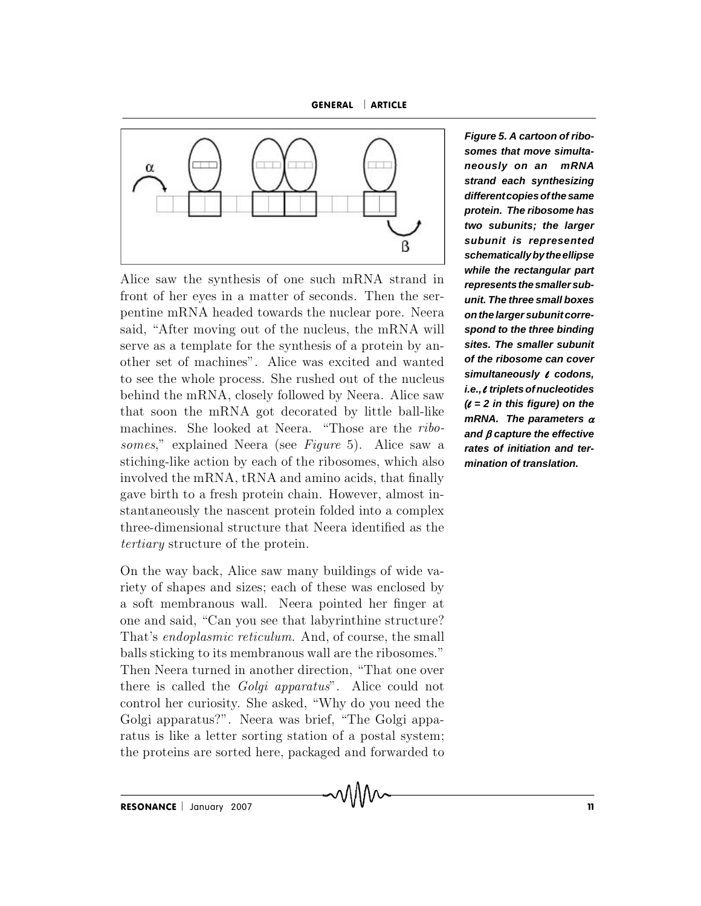GENERAL ARTICLE



Alice saw the synthesis of one such mRNA strand in<br>front of her eyes in a matter of seconds. Then the ser-<br>pentine mRNA headed towards the nuclear pore. Neera<br>said. "After moving out of the nucleus, the mRNA will spo Alice saw the synthesis of one such mRNA strand in<br>front of her eyes in a matter of seconds. Then the ser-<br>pentine mRNA headed towards the nuclear pore. Neera<br>said, "After moving out of the nucleus, the mRNA will spo<br>serv Alice saw the synthesis of one such mRNA strand in<br>front of her eyes in a matter of seconds. Then the ser-<br>pentine mRNA headed towards the nuclear pore. Neera<br>said, "After moving out of the nucleus, the mRNA will<br>serve as Alice saw the synthesis of one such mRNA strand in<br>front of her eyes in a matter of seconds. Then the ser-<br>pentine mRNA headed towards the nuclear pore. Neera<br>said, "After moving out of the nucleus, the mRNA will<br>serve as front of her eyes in a matter of seconds. Then the ser-<br>pentine mRNA headed towards the nuclear pore. Neera<br>said, "After moving out of the nucleus, the mRNA will<br>sperve as a template for the synthesis of a protein by an-<br> pentine mRNA headed towards the nuclear pore. Neera<br>said, "After moving out of the nucleus, the mRNA will<br>serve as a template for the synthesis of a protein by an-<br>other set of machines". Alice was excited and wanted<br>to s said, "After moving out of the nucleus, the mRNA will<br>serve as a template for the synthesis of a protein by an-<br>other set of machines". Alice was excited and wanted<br>to see the whole process. She rushed out of the nucleus<br> serve as a template for the synthesis of a protein by an-<br>other set of machines". Alice was excited and wanted<br>to see the whole process. She rushed out of the nucleus<br>behind the mRNA, closely followed by Neera. Alice saw<br> other set of machines". Alice was excited and wanted<br>to see the whole process. She rushed out of the nucleus<br>behind the mRNA, closely followed by Neera. Alice saw<br>that soon the mRNA got decorated by little ball-like<br>machi to see the whole process. She rushed out of the nucleus sin<br>behind the mRNA, closely followed by Neera. Alice saw<br>that soon the mRNA got decorated by little ball-like  $\theta = mR$ <br>machines. She looked at Neera. "Those are the behind the mRNA, closely followed by Neera. Alice saw<br>
that soon the mRNA got decorated by little ball-like<br>
machines. She looked at Neera. "Those are the *ribo-*<br>
somes," explained Neera (see *Figure* 5). Alice saw a<br>
st that soon the mRNA got decorated by little ball-like  $\theta$  machines. She looked at Neera. "Those are the *ribo*-<br>somes," explained Neera (see *Figure* 5). Alice saw a **rate**<br>stiching-like action by each of the ribosomes, w machines. She looked at Neera. "Those are the *ribo*-<br>somes," explained Neera (see *Figure* 5). Alice saw a<br>stiching-like action by each of the ribosomes, which also<br>involved the mRNA, tRNA and amino acids, that finally<br>g somes," explained Neera (see Figure !<br>stiching-like action by each of the ribose<br>involved the mRNA, tRNA and amino a<br>gave birth to a fresh protein chain. How<br>stantaneously the nascent protein folde<br>three-dimensional struc sticning-like action by each of the ribosomes, which also<br>involved the mRNA, tRNA and amino acids, that finally<br>gave birth to a fresh protein chain. However, almost in-<br>stantaneously the nascent protein folded into a compl mvoived the mrink, trink and amino acids, that many<br>gave birth to a fresh protein chain. However, almost in-<br>stantaneously the nascent protein folded into a complex<br>three-dimensional structure that Neera identified as the<br> gave birth to a fresh protein chain. However, almost in-<br>stantaneously the nascent protein folded into a complex<br>three-dimensional structure that Neera identified as the<br>*tertiary* structure of the protein.<br>On the way back

stantaneously the nascent protein lolded into a complex<br>three-dimensional structure that Neera identified as the<br>*tertiary* structure of the protein.<br>On the way back, Alice saw many buildings of wide va-<br>riety of shapes an three-dimensional structure that iveera identified as the *tertiary* structure of the protein.<br>On the way back, Alice saw many buildings of wide variety of shapes and sizes; each of these was enclosed by a soft membranous b a lertiary structure of the protein.<br>
On the way back, Alice saw many buildings of wide variety of shapes and sizes; each of these was enclosed by<br>
a soft membranous wall. Neera pointed her finger at<br>
one and said, "Can On the way back, Alice saw many buildings of wide va-<br>riety of shapes and sizes; each of these was enclosed by<br>a soft membranous wall. Neera pointed her finger at<br>one and said, "Can you see that labyrinthine structure?<br>Tha riety of shapes and sizes; each of these was enclosed by<br>a soft membranous wall. Neera pointed her finger at<br>one and said, "Can you see that labyrinthine structure?<br>That's *endoplasmic reticulum*. And, of course, the small a soft membranous wall. Neera pointed her finger at<br>one and said, "Can you see that labyrinthine structure?<br>That's *endoplasmic reticulum*. And, of course, the small<br>balls sticking to its membranous wall are the ribosomes. one and said, "Can you see that labyrinthine structure?<br>That's *endoplasmic reticulum*. And, of course, the small<br>balls sticking to its membranous wall are the ribosomes."<br>Then Neera turned in another direction, "That one That's *endoplasmic reticulum*. And, of course, the small balls sticking to its membranous wall are the ribosomes."<br>Then Neera turned in another direction, "That one over there is called the *Golgi apparatus*". Alice could balls sticking to its membranous wall are the ribosomes."<br>Then Neera turned in another direction, "That one over<br>there is called the *Golgi apparatus*". Alice could not<br>control her curiosity. She asked, "Why do you need th

**Figure 5. A cartoon of ribosomes that move simultaneously on an mRNA strand each synthesizing different copies of the same protein. The ribosome has two subunits; the larger subunit is represented schematically by the ellipse while the rectangular part represents the smaller subunit. The three small boxes on the larger subunit correspond to the three binding sites. The smaller subunit of the ribosome can cover simultaneously** l **codons, i.e.,** l **triplets of nucleotides (**l **= 2 in this figure) on the** mRNA. The parameters  $\alpha$ and  $\beta$  capture the effective **rates of initiation and termination of translation.**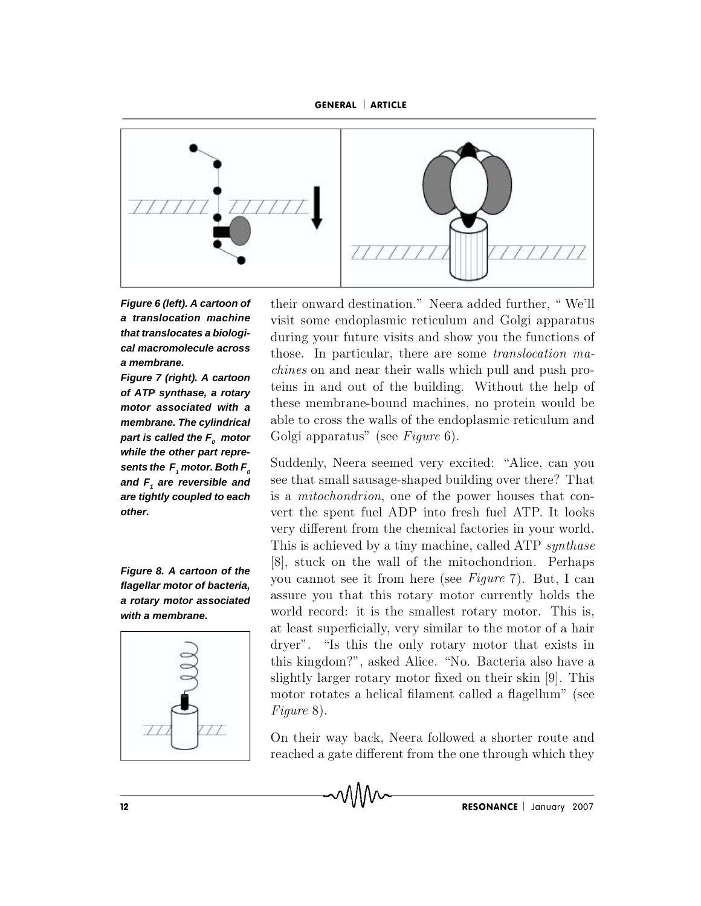



**a translocation machine that translocates a biologia membrane.**

**motor associated with a** part is called the  $\textsf{\textit{F}}_{o}$  motor  $\quad$   $\rm{G}$ **while the other part repre**sents the  $F$ <sub>1</sub> motor. Both  $F^{\circ}_{\theta}$ and  $\boldsymbol{F}_{\!\!_1}$  are reversible and  $\quad$   ${\rm sec\ }{\rm t}$ **other.**

**with a membrane.**



**Figure 6 (left). A cartoon of** their onward destination." Neera added further, "We'll **cal macromolecule across** those. In particular, there are some *translocation ma*-**Figure 7 (right). A cartoon** terms on and near their wand which pun and pain pro<br>of ATP synthese a retary teins in and out of the building. Without the help of of **ATP synthase, a rotary** terms in and out of the bunding. Without the neip of **area** in the semembrane-bound machines, no protein would be **membrane. The cylindrical** THITTI (THITTI)<br>their onward destination." Neera added further, "We'll<br>visit some endoplasmic reticulum and Golgi apparatus<br>during your future visits and show you the functions of<br>those. In particular, there are some *tran* their onward destination." Neera added further, "We'll<br>visit some endoplasmic reticulum and Golgi apparatus<br>during your future visits and show you the functions of<br>those. In particular, there are some *translocation ma-*<br> their onward destination." Neera added further, "We'll<br>visit some endoplasmic reticulum and Golgi apparatus<br>during your future visits and show you the functions of<br>those. In particular, there are some *translocation ma-<br>ch* their onward destination." Neera added further, "We'll<br>visit some endoplasmic reticulum and Golgi apparatus<br>during your future visits and show you the functions of<br>those. In particular, there are some *translocation ma-<br>ch* visit some endoplasmic reticulum and Golgi apparatus<br>during your future visits and show you the functions of<br>those. In particular, there are some *translocation ma-<br>chines* on and near their walls which pull and push pro-<br> during your future visits and show you the functions of those. In particular, there are some *translocation machines* on and near their walls which pull and push proteins in and out of the building. Without the help of th those. In particular, there are some *translocation machines* on and near their walls which pull and push proteins in and out of the building. Without the help of these membrane-bound machines, no protein would be able to chines on and near their wans which pun and push proteins in and out of the building. Without the help of these membrane-bound machines, no protein would be able to cross the walls of the endoplasmic reticulum and Golgi a tems in and out of the bunding. Without the help of<br>these membrane-bound machines, no protein would be<br>able to cross the walls of the endoplasmic reticulum and<br>Golgi apparatus" (see *Figure* 6).<br>Suddenly, Neera seemed ver

**are tightly coupled to each** is a mitochondrion, one of the power houses that con-**Figure 8. A cartoon of the** [8], stuck on the wall of the mitochondrion. Perhaps<br>you cannot see it from here (see *Figure* 7). But, I can **flagellar motor of bacteria,** you cannot see it from here (see *Figure 1*). But, I can **a rotary motor associated** assure you that this fotary motor currently holds the with a membrane world record: it is the smallest rotary motor. This is, these membrane-bound machines, no protein would be<br>able to cross the walls of the endoplasmic reticulum and<br>Golgi apparatus" (see Figure 6).<br>Suddenly, Neera seemed very excited: "Alice, can you<br>see that small sausage-shape able to cross the walls of the endoplasmic reticulum and<br>Golgi apparatus" (see Figure 6).<br>Suddenly, Neera seemed very excited: "Alice, can you<br>see that small sausage-shaped building over there? That<br>is a *mitochondrion*, o Goigh apparatus (see *rigure* b).<br>
Suddenly, Neera seemed very excited: "Alice, can you<br>
see that small sausage-shaped building over there? That<br>
is a *mitochondrion*, one of the power houses that con-<br>
vert the spent fue Suddenly, Neera seemed very excited: "Alice, can you<br>see that small sausage-shaped building over there? That<br>is a *mitochondrion*, one of the power houses that con-<br>vert the spent fuel ADP into fresh fuel ATP. It looks<br>ver see that small sausage-shaped building over there? That<br>is a *mitochondrion*, one of the power houses that con-<br>vert the spent fuel ADP into fresh fuel ATP. It looks<br>very different from the chemical factories in your world is a *mitochondrion*, one of the power houses that convert the spent fuel ADP into fresh fuel ATP. It looks<br>very different from the chemical factories in your world.<br>This is achieved by a tiny machine, called ATP *synthas* vert the spent fuel ADP into fresh fuel ATP. It looks<br>very different from the chemical factories in your world.<br>This is achieved by a tiny machine, called ATP *synthase*<br>[8], stuck on the wall of the mitochondrion. Perhap very different from the chemical factories in your world.<br>This is achieved by a tiny machine, called ATP *synthase*<br>[8], stuck on the wall of the mitochondrion. Perhaps<br>you cannot see it from here (see *Figure 7*). But, I This is achieved by a tiny machine, called ATP *synthase* [8], stuck on the wall of the mitochondrion. Perhaps you cannot see it from here (see *Figure* 7). But, I can assure you that this rotary motor currently holds the [8], stuck on the wall of the mitochondrion. Perhaps<br>you cannot see it from here (see *Figure* 7). But, I can<br>assure you that this rotary motor currently holds the<br>world record: it is the smallest rotary motor. This is,<br>a slightly cannot see it from here (see Figure 7). But, I can assure you that this rotary motor currently holds the world record: it is the smallest rotary motor. This is, at least superficially, very similar to the motor o assure you that this rotary motor currently holds the world record: it is the smallest rotary motor. This is, at least superficially, very similar to the motor of a hair dryer". "Is this the only rotary motor that exists i world record: it<br>at least superfici<br>dryer". "Is this<br>this kingdom?",<br>slightly larger ro<br>motor rotates a *Figure* 8). at least supernerally, very similar to the motor of a hair<br>dryer". "Is this the only rotary motor that exists in<br>this kingdom?", asked Alice. "No. Bacteria also have a<br>slightly larger rotary motor fixed on their skin [9]. dryer". "Is this the only rotary motor that exists in<br>this kingdom?", asked Alice. "No. Bacteria also have a<br>slightly larger rotary motor fixed on their skin [9]. This<br>motor rotates a helical filament called a flagellum"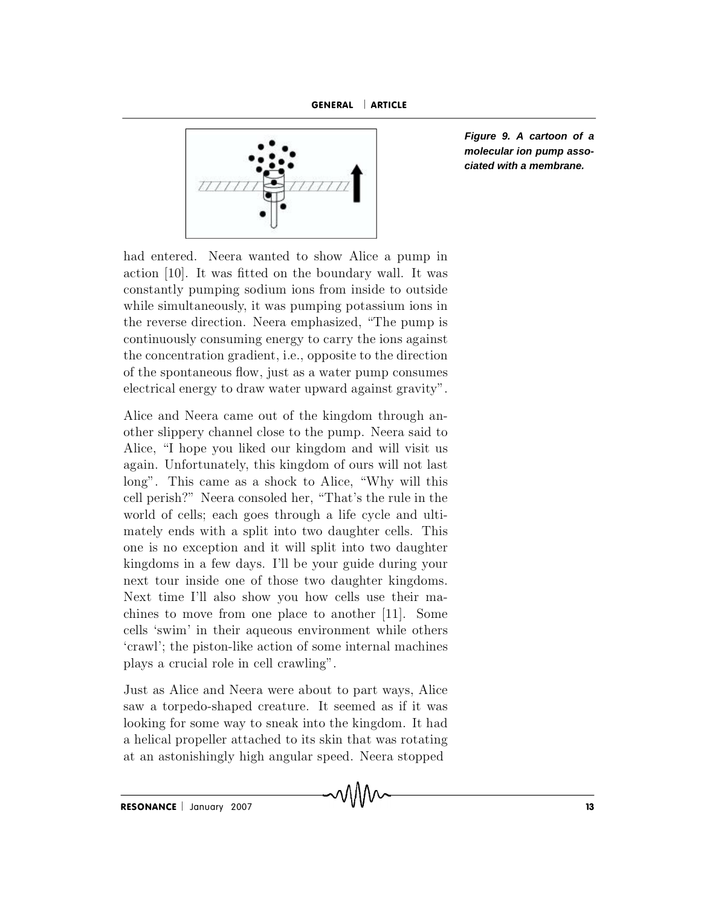



**Figure 9. A cartoon of a molecular ion pump associated with a membrane.**

 $\begin{array}{c|c|c|c} \hline \text{7777777} & & & \\ \hline \text{had entered. Neara wanted to show Alice a pump in action [10]. It was fitted on the boundary wall. It was constantly pumping sodium ions from inside to outside.} \hline \end{array}$ had entered. Neera wanted to show Alice a pump in action [10]. It was fitted on the boundary wall. It was constantly pumping sodium ions from inside to outside while simultaneously, it was pumping potassium ions in had entered. Neera wanted to show Alice a pump in<br>action [10]. It was fitted on the boundary wall. It was<br>constantly pumping sodium ions from inside to outside<br>while simultaneously, it was pumping potassium ions in<br>the rev had entered. Neera wanted to show Alice a pump in<br>action [10]. It was fitted on the boundary wall. It was<br>constantly pumping sodium ions from inside to outside<br>while simultaneously, it was pumping potassium ions in<br>the rev had entered. Neera wanted to show Alice a pump in<br>action [10]. It was fitted on the boundary wall. It was<br>constantly pumping sodium ions from inside to outside<br>while simultaneously, it was pumping potassium ions in<br>the rev action [10]. It was fitted on the boundary wall. It was<br>constantly pumping sodium ions from inside to outside<br>while simultaneously, it was pumping potassium ions in<br>the reverse direction. Neera emphasized, "The pump is<br>con constantly pumping sodium ions from inside to outside<br>while simultaneously, it was pumping potassium ions in<br>the reverse direction. Neera emphasized, "The pump is<br>continuously consuming energy to carry the ions against<br>the while simultaneously, it was pumping potassium lons in<br>the reverse direction. Neera emphasized, "The pump is<br>continuously consuming energy to carry the ions against<br>the concentration gradient, i.e., opposite to the directi the reverse direction. Neera emphasized, The pump is<br>continuously consuming energy to carry the ions against<br>the concentration gradient, i.e., opposite to the direction<br>of the spontaneous flow, just as a water pump consume continuously consuming energy to carry the lons against<br>the concentration gradient, i.e., opposite to the direction<br>of the spontaneous flow, just as a water pump consumes<br>electrical energy to draw water upward against grav

a g a in the concentration gradient, i.e., opposite to the direction<br>of the spontaneous flow, just as a water pump consumes<br>electrical energy to draw water upward against gravity".<br>Alice and Neera came out of the kingdom t of the spontaneous flow, just as a water pump consumes<br>electrical energy to draw water upward against gravity".<br>Alice and Neera came out of the kingdom through an-<br>other slippery channel close to the pump. Neera said to<br>Al electrical energy to draw water upward against gravity.<br>Alice and Neera came out of the kingdom through an-<br>other slippery channel close to the pump. Neera said to<br>Alice, "I hope you liked our kingdom and will visit us<br>aga Alice and Neera came out of the kingdom through an-<br>other slippery channel close to the pump. Neera said to<br>Alice, "I hope you liked our kingdom and will visit us<br>again. Unfortunately, this kingdom of ours will not last<br>lo other slippery channel close to the pump. Neera said to Alice, "I hope you liked our kingdom and will visit us again. Unfortunately, this kingdom of ours will not last long". This came as a shock to Alice, "Why will this c Alice, "I hope you liked our kingdom and will visit us<br>again. Unfortunately, this kingdom of ours will not last<br>long". This came as a shock to Alice, "Why will this<br>cell perish?" Neera consoled her, "That's the rule in the again. Unfortunately, this kingdom of ours will not last<br>long". This came as a shock to Alice, "Why will this<br>cell perish?" Neera consoled her, "That's the rule in the<br>world of cells; each goes through a life cycle and ult long". This came as a shock to Alice, "Why will this cell perish?" Neera consoled her, "That's the rule in the world of cells; each goes through a life cycle and ultimately ends with a split into two daughter cells. This o cell perish?" Neera consoled her, "That's the rule in the world of cells; each goes through a life cycle and ulti-<br>mately ends with a split into two daughter cells. This<br>one is no exception and it will split into two daugh world of cells; each goes through a life cycle and ulti-<br>mately ends with a split into two daughter cells. This<br>one is no exception and it will split into two daughter<br>kingdoms in a few days. I'll be your guide during your mately ends with a split into two daughter cells. This<br>one is no exception and it will split into two daughter<br>kingdoms in a few days. I'll be your guide during your<br>next tour inside one of those two daughter kingdoms.<br>Nex one is no exception and it will split into two daughter<br>kingdoms in a few days. I'll be your guide during your<br>next tour inside one of those two daughter kingdoms.<br>Next time I'll also show you how cells use their ma-<br>chine one is no exception and it will split into two daughter<br>kingdoms in a few days. I'll be your guide during your<br>next tour inside one of those two daughter kingdoms.<br>Next time I'll also show you how cells use their ma-<br>chine next tour inside one of those two daughter kingdoms.<br>Next time I'll also show you how cells use their machines to move from one place to another [11]. Some<br>cells 'swim' in their aqueous environment while others<br>'crawl'; th saw time 1 ii also show you how cens use their machines to move from one place to another [11]. Some cells 'swim' in their aqueous environment while others 'crawl'; the piston-like action of some internal machines plays a calls 'swim' in their aqueous environment while others<br>
'crawl'; the piston-like action of some internal machines<br>
plays a crucial role in cell crawling".<br>
Just as Alice and Neera were about to part ways, Alice<br>
saw a torp

cens swim in their aqueous environment wine others<br>'crawl'; the piston-like action of some internal machines<br>plays a crucial role in cell crawling".<br>Just as Alice and Neera were about to part ways, Alice<br>saw a torpedo-shap relaws a crucial role in cell crawling".<br>Just as Alice and Neera were about to part ways, Alice saw a torpedo-shaped creature. It seemed as if it wa<br>looking for some way to sneak into the kingdom. It has<br>a helical propelle